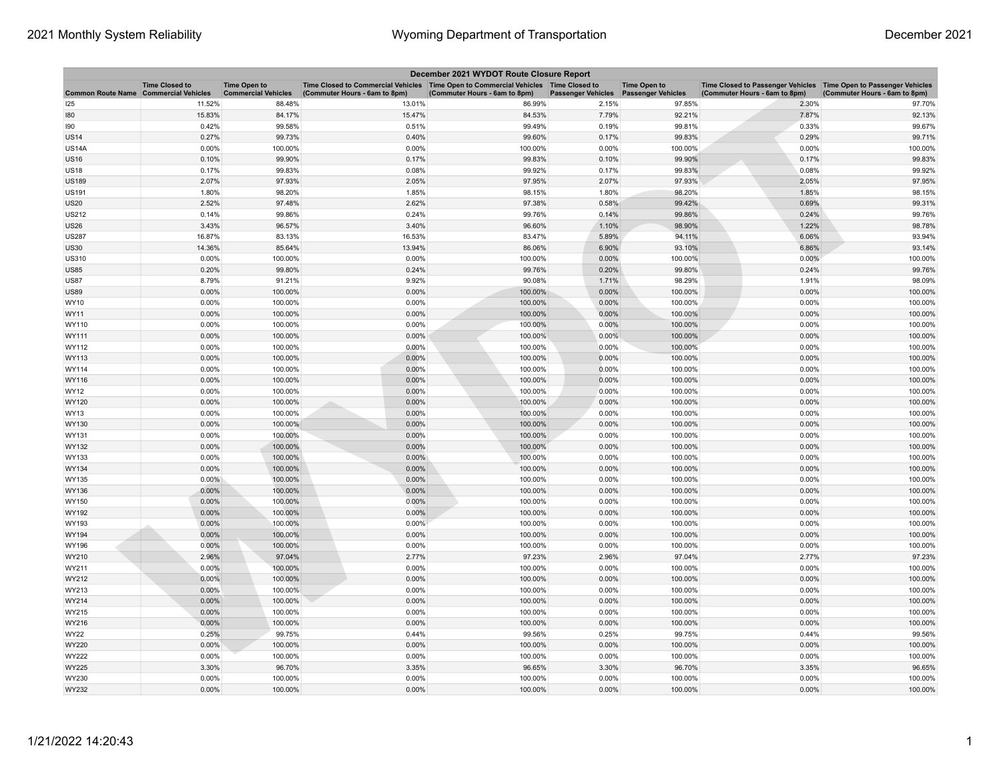| December 2021 WYDOT Route Closure Report     |                       |                                                   |                                                                                                                       |                               |                           |                                                  |                                                                                                      |                               |
|----------------------------------------------|-----------------------|---------------------------------------------------|-----------------------------------------------------------------------------------------------------------------------|-------------------------------|---------------------------|--------------------------------------------------|------------------------------------------------------------------------------------------------------|-------------------------------|
| <b>Common Route Name Commercial Vehicles</b> | <b>Time Closed to</b> | <b>Time Open to</b><br><b>Commercial Vehicles</b> | Time Closed to Commercial Vehicles  Time Open to Commercial Vehicles  Time Closed to<br>(Commuter Hours - 6am to 8pm) | (Commuter Hours - 6am to 8pm) | <b>Passenger Vehicles</b> | <b>Time Open to</b><br><b>Passenger Vehicles</b> | Time Closed to Passenger Vehicles   Time Open to Passenger Vehicles<br>(Commuter Hours - 6am to 8pm) | (Commuter Hours - 6am to 8pm) |
| 125                                          | 11.52%                | 88.48%                                            | 13.01%                                                                                                                | 86.99%                        | 2.15%                     | 97.85%                                           | 2.30%                                                                                                | 97.70%                        |
| 180                                          | 15.83%                | 84.17%                                            | 15.47%                                                                                                                | 84.53%                        | 7.79%                     | 92.21%                                           | 7.87%                                                                                                | 92.13%                        |
| 190                                          | 0.42%                 | 99.58%                                            | 0.51%                                                                                                                 | 99.49%                        | 0.19%                     | 99.81%                                           | 0.33%                                                                                                | 99.67%                        |
| US14                                         | 0.27%                 | 99.73%                                            | 0.40%                                                                                                                 | 99.60%                        | 0.17%                     | 99.83%                                           | 0.29%                                                                                                | 99.71%                        |
| <b>US14A</b>                                 | 0.00%                 | 100.00%                                           | 0.00%                                                                                                                 | 100.00%                       | 0.00%                     | 100.00%                                          | 0.00%                                                                                                | 100.00%                       |
| <b>US16</b>                                  | 0.10%                 | 99.90%                                            | 0.17%                                                                                                                 | 99.83%                        | 0.10%                     | 99.90%                                           | 0.17%                                                                                                | 99.83%                        |
| <b>US18</b>                                  | 0.17%                 | 99.83%                                            | 0.08%                                                                                                                 | 99.92%                        | 0.17%                     | 99.83%                                           | 0.08%                                                                                                | 99.92%                        |
| <b>US189</b>                                 | 2.07%                 | 97.93%                                            | 2.05%                                                                                                                 | 97.95%                        | 2.07%                     | 97.93%                                           | 2.05%                                                                                                | 97.95%                        |
| US191                                        | 1.80%                 | 98.20%                                            | 1.85%                                                                                                                 | 98.15%                        | 1.80%                     | 98.20%                                           | 1.85%                                                                                                | 98.15%                        |
| <b>US20</b>                                  | 2.52%                 | 97.48%                                            | 2.62%                                                                                                                 | 97.38%                        | 0.58%                     | 99.42%                                           | 0.69%                                                                                                | 99.31%                        |
| <b>US212</b>                                 | 0.14%                 | 99.86%                                            | 0.24%                                                                                                                 | 99.76%                        | 0.14%                     | 99.86%                                           | 0.24%                                                                                                | 99.76%                        |
| US26                                         | 3.43%                 | 96.57%                                            | 3.40%                                                                                                                 | 96.60%                        | 1.10%                     | 98.90%                                           | 1.22%                                                                                                | 98.78%                        |
| <b>US287</b>                                 | 16.87%                | 83.13%                                            | 16.53%                                                                                                                | 83.47%                        | 5.89%                     | 94.11%                                           | 6.06%                                                                                                | 93.94%                        |
| US30                                         | 14.36%                | 85.64%                                            | 13.94%                                                                                                                | 86.06%                        | 6.90%                     | 93.10%                                           | 6.86%                                                                                                | 93.14%                        |
| <b>US310</b>                                 | 0.00%                 | 100.00%                                           | 0.00%                                                                                                                 | 100.00%                       | 0.00%                     | 100.00%                                          | 0.00%                                                                                                | 100.00%                       |
| <b>US85</b>                                  | 0.20%                 | 99.80%                                            | 0.24%                                                                                                                 | 99.76%                        | 0.20%                     | 99.80%                                           | 0.24%                                                                                                | 99.76%                        |
| <b>US87</b>                                  | 8.79%                 | 91.21%                                            | 9.92%                                                                                                                 | 90.08%                        | 1.71%                     | 98.29%                                           | 1.91%                                                                                                | 98.09%                        |
| <b>US89</b>                                  | 0.00%                 | 100.00%                                           | 0.00%                                                                                                                 | 100.00%                       | 0.00%                     | 100.00%                                          | 0.00%                                                                                                | 100.00%                       |
| WY10                                         | 0.00%                 | 100.00%                                           | 0.00%                                                                                                                 | 100.00%                       | 0.00%                     | 100.00%                                          | 0.00%                                                                                                | 100.00%                       |
| WY11                                         | 0.00%                 | 100.00%                                           | 0.00%                                                                                                                 | 100.00%                       | 0.00%                     | 100.00%                                          | 0.00%                                                                                                | 100.00%                       |
| WY110                                        | 0.00%                 | 100.00%                                           | 0.00%                                                                                                                 | 100.00%                       | 0.00%                     | 100.00%                                          | 0.00%                                                                                                | 100.00%                       |
| WY111                                        | 0.00%                 | 100.00%                                           | 0.00%                                                                                                                 | 100.00%                       | 0.00%                     | 100.00%                                          | 0.00%                                                                                                | 100.00%                       |
| WY112                                        | 0.00%                 | 100.00%                                           | 0.00%                                                                                                                 | 100.00%                       | 0.00%                     | 100.00%                                          | 0.00%                                                                                                | 100.00%                       |
| WY113                                        | 0.00%                 | 100.00%                                           | 0.00%                                                                                                                 | 100.00%                       | 0.00%                     | 100.00%                                          | 0.00%                                                                                                | 100.00%                       |
| WY114                                        | 0.00%                 | 100.00%                                           | 0.00%                                                                                                                 | 100.00%                       | 0.00%                     | 100.00%                                          | 0.00%                                                                                                | 100.00%                       |
| WY116                                        | 0.00%                 | 100.00%                                           | 0.00%                                                                                                                 | 100.00%                       | 0.00%                     | 100.00%                                          | 0.00%                                                                                                | 100.00%                       |
| WY12                                         | 0.00%                 | 100.00%                                           | 0.00%                                                                                                                 | 100.00%                       | 0.00%                     | 100.00%                                          | 0.00%                                                                                                | 100.00%                       |
| WY120                                        | 0.00%                 | 100.00%                                           | 0.00%                                                                                                                 | 100.00%                       | 0.00%                     | 100.00%                                          | 0.00%                                                                                                | 100.00%                       |
| WY13                                         | 0.00%                 | 100.00%                                           | 0.00%                                                                                                                 | 100.00%                       | 0.00%                     | 100.00%                                          | 0.00%                                                                                                | 100.00%                       |
| WY130                                        | 0.00%                 | 100.00%                                           | 0.00%                                                                                                                 | 100.00%                       | 0.00%                     | 100.00%                                          | 0.00%                                                                                                | 100.00%                       |
| WY131                                        | 0.00%                 | 100.00%                                           | 0.00%                                                                                                                 | 100.00%                       | 0.00%                     | 100.00%                                          | 0.00%                                                                                                | 100.00%                       |
| WY132                                        | 0.00%                 | 100.00%                                           | 0.00%                                                                                                                 | 100.00%                       | 0.00%                     | 100.00%                                          | 0.00%                                                                                                | 100.00%                       |
| WY133                                        | 0.00%                 | 100.00%                                           | 0.00%                                                                                                                 | 100.00%                       | 0.00%                     | 100.00%                                          | 0.00%                                                                                                | 100.00%                       |
| WY134                                        | $0.00\%$              | 100.00%                                           | 0.00%                                                                                                                 | 100.00%                       | 0.00%                     | 100.00%                                          | 0.00%                                                                                                | 100.00%                       |
| WY135                                        | $0.00\%$              | 100.00%                                           | 0.00%                                                                                                                 | 100.00%                       | 0.00%                     | 100.00%                                          | 0.00%                                                                                                | 100.00%                       |
| WY136                                        | 0.00%                 | 100.00%                                           | 0.00%                                                                                                                 | 100.00%                       | 0.00%                     | 100.00%                                          | 0.00%                                                                                                | 100.00%                       |
| WY150                                        | 0.00%                 | 100.00%                                           | 0.00%                                                                                                                 | 100.00%                       | 0.00%                     | 100.00%                                          | 0.00%                                                                                                | 100.00%                       |
| WY192                                        | 0.00%                 | 100.00%                                           | 0.00%                                                                                                                 | 100.00%                       | 0.00%                     | 100.00%                                          | 0.00%                                                                                                | 100.00%                       |
| WY193                                        | 0.00%                 | 100.00%                                           | 0.00%                                                                                                                 | 100.00%                       | 0.00%                     | 100.00%                                          | 0.00%                                                                                                | 100.00%                       |
| WY194                                        | 0.00%                 | 100.00%                                           | 0.00%                                                                                                                 | 100.00%                       | 0.00%                     | 100.00%                                          | 0.00%                                                                                                | 100.00%                       |
| WY196                                        | 0.00%                 | 100.00%                                           | 0.00%                                                                                                                 | 100.00%                       | 0.00%                     | 100.00%                                          | 0.00%                                                                                                | 100.00%                       |
| WY210                                        | 2.96%                 | 97.04%                                            | 2.77%                                                                                                                 | 97.23%                        | 2.96%                     | 97.04%                                           | 2.77%                                                                                                | 97.23%                        |
| WY211                                        | 0.00%                 | 100.00%                                           | 0.00%                                                                                                                 | 100.00%                       | 0.00%                     | 100.00%                                          | 0.00%                                                                                                | 100.00%                       |
| WY212                                        | 0.00%                 | 100.00%                                           | 0.00%                                                                                                                 | 100.00%                       | 0.00%                     | 100.00%                                          | 0.00%                                                                                                | 100.00%                       |
| WY213                                        | 0.00%                 | 100.00%                                           | 0.00%                                                                                                                 | 100.00%                       | 0.00%                     | 100.00%                                          | 0.00%                                                                                                | 100.00%                       |
| WY214                                        | 0.00%                 | 100.00%                                           | 0.00%                                                                                                                 | 100.00%                       | 0.00%                     | 100.00%                                          | 0.00%                                                                                                | 100.00%                       |
| WY215                                        | 0.00%                 | 100.00%                                           | 0.00%                                                                                                                 | 100.00%                       | 0.00%                     | 100.00%                                          | 0.00%                                                                                                | 100.00%                       |
| WY216                                        | 0.00%                 | 100.00%                                           | 0.00%                                                                                                                 | 100.00%                       | 0.00%                     | 100.00%                                          | 0.00%                                                                                                | 100.00%                       |
| WY22                                         | 0.25%                 | 99.75%                                            | 0.44%                                                                                                                 | 99.56%                        | 0.25%                     | 99.75%                                           | 0.44%                                                                                                | 99.56%                        |
| WY220                                        | 0.00%                 | 100.00%                                           | 0.00%                                                                                                                 | 100.00%                       | 0.00%                     | 100.00%                                          | 0.00%                                                                                                | 100.00%                       |
| WY222                                        | 0.00%                 | 100.00%                                           | 0.00%                                                                                                                 | 100.00%                       | 0.00%                     | 100.00%                                          | 0.00%                                                                                                | 100.00%                       |
| WY225                                        | 3.30%                 | 96.70%                                            | 3.35%                                                                                                                 | 96.65%                        | 3.30%                     | 96.70%                                           | 3.35%                                                                                                | 96.65%                        |
| WY230                                        | 0.00%                 | 100.00%                                           | 0.00%                                                                                                                 | 100.00%                       | 0.00%                     | 100.00%                                          | 0.00%                                                                                                | 100.00%                       |
| WY232                                        | 0.00%                 | 100.00%                                           | 0.00%                                                                                                                 | 100.00%                       | 0.00%                     | 100.00%                                          | 0.00%                                                                                                | 100.00%                       |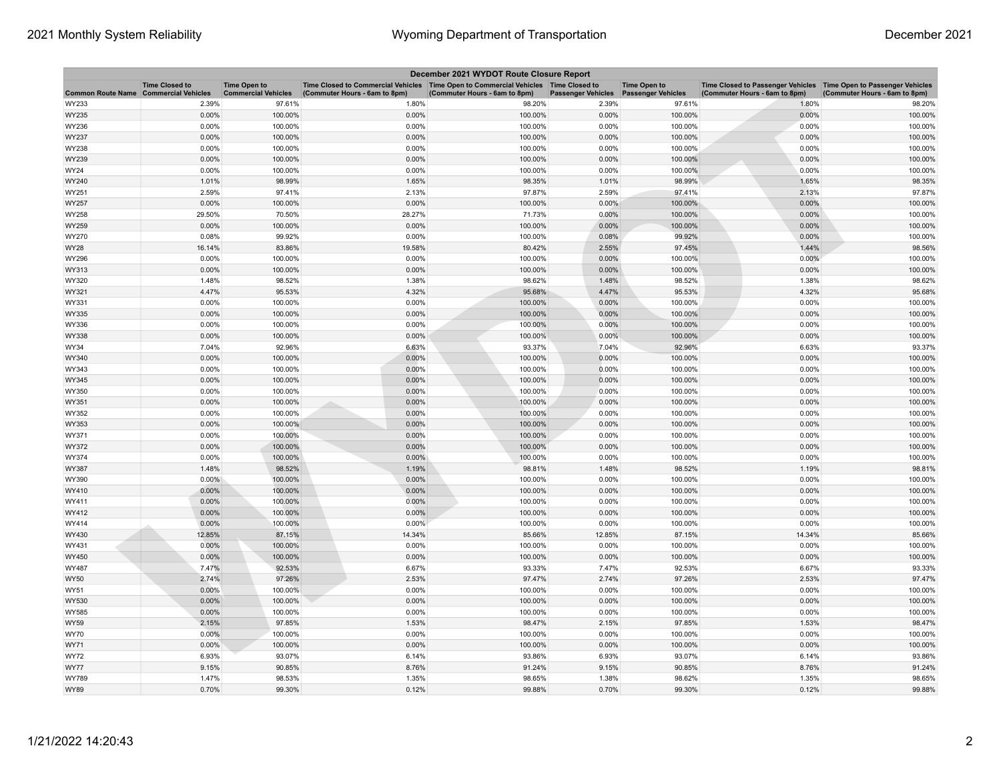| December 2021 WYDOT Route Closure Report |                                                     |                                                   |                                                                                                                         |                               |                                       |                     |                                                                                                      |                               |
|------------------------------------------|-----------------------------------------------------|---------------------------------------------------|-------------------------------------------------------------------------------------------------------------------------|-------------------------------|---------------------------------------|---------------------|------------------------------------------------------------------------------------------------------|-------------------------------|
| <b>Common Route Name</b>                 | <b>Time Closed to</b><br><b>Commercial Vehicles</b> | <b>Time Open to</b><br><b>Commercial Vehicles</b> | Time Closed to Commercial Vehicles   Time Open to Commercial Vehicles   Time Closed to<br>(Commuter Hours - 6am to 8pm) | (Commuter Hours - 6am to 8pm) | Passenger Vehicles Passenger Vehicles | <b>Time Open to</b> | Time Closed to Passenger Vehicles   Time Open to Passenger Vehicles<br>(Commuter Hours - 6am to 8pm) | (Commuter Hours - 6am to 8pm) |
| WY233                                    | 2.39%                                               | 97.61%                                            | 1.80%                                                                                                                   | 98.20%                        | 2.39%                                 | 97.61%              | 1.80%                                                                                                | 98.20%                        |
| WY235                                    | 0.00%                                               | 100.00%                                           | 0.00%                                                                                                                   | 100.00%                       | 0.00%                                 | 100.00%             | 0.00%                                                                                                | 100.00%                       |
| WY236                                    | 0.00%                                               | 100.00%                                           | 0.00%                                                                                                                   | 100.00%                       | 0.00%                                 | 100.00%             | 0.00%                                                                                                | 100.00%                       |
| WY237                                    | 0.00%                                               | 100.00%                                           | 0.00%                                                                                                                   | 100.00%                       | 0.00%                                 | 100.00%             | 0.00%                                                                                                | 100.00%                       |
| WY238                                    | 0.00%                                               | 100.00%                                           | 0.00%                                                                                                                   | 100.00%                       | 0.00%                                 | 100.00%             | 0.00%                                                                                                | 100.00%                       |
| WY239                                    | 0.00%                                               | 100.00%                                           | 0.00%                                                                                                                   | 100.00%                       | 0.00%                                 | 100.00%             | 0.00%                                                                                                | 100.00%                       |
| WY24                                     | 0.00%                                               | 100.00%                                           | 0.00%                                                                                                                   | 100.00%                       | 0.00%                                 | 100.00%             | 0.00%                                                                                                | 100.00%                       |
| WY240                                    | 1.01%                                               | 98.99%                                            | 1.65%                                                                                                                   | 98.35%                        | 1.01%                                 | 98.99%              | 1.65%                                                                                                | 98.35%                        |
| WY251                                    | 2.59%                                               | 97.41%                                            | 2.13%                                                                                                                   | 97.87%                        | 2.59%                                 | 97.41%              | 2.13%                                                                                                | 97.87%                        |
| WY257                                    | 0.00%                                               | 100.00%                                           | 0.00%                                                                                                                   | 100.00%                       | 0.00%                                 | 100.00%             | 0.00%                                                                                                | 100.00%                       |
| WY258                                    | 29.50%                                              | 70.50%                                            | 28.27%                                                                                                                  | 71.73%                        | 0.00%                                 | 100.00%             | 0.00%                                                                                                | 100.00%                       |
| WY259                                    | 0.00%                                               | 100.00%                                           | 0.00%                                                                                                                   | 100.00%                       | 0.00%                                 | 100.00%             | 0.00%                                                                                                | 100.00%                       |
| WY270                                    | 0.08%                                               | 99.92%                                            | 0.00%                                                                                                                   | 100.00%                       | 0.08%                                 | 99.92%              | 0.00%                                                                                                | 100.00%                       |
| WY28                                     | 16.14%                                              | 83.86%                                            | 19.58%                                                                                                                  | 80.42%                        | 2.55%                                 | 97.45%              | 1.44%                                                                                                | 98.56%                        |
| WY296                                    | 0.00%                                               | 100.00%                                           | 0.00%                                                                                                                   | 100.00%                       | 0.00%                                 | 100.00%             | 0.00%                                                                                                | 100.00%                       |
| WY313                                    | 0.00%                                               | 100.00%                                           | 0.00%                                                                                                                   | 100.00%                       | 0.00%                                 | 100.00%             | 0.00%                                                                                                | 100.00%                       |
| WY320                                    | 1.48%                                               | 98.52%                                            | 1.38%                                                                                                                   | 98.62%                        | 1.48%                                 | 98.52%              | 1.38%                                                                                                | 98.62%                        |
| WY321                                    | 4.47%                                               | 95.53%                                            | 4.32%                                                                                                                   | 95.68%                        | 4.47%                                 | 95.53%              | 4.32%                                                                                                | 95.68%                        |
| WY331                                    | 0.00%                                               | 100.00%                                           | 0.00%                                                                                                                   | 100.00%                       | 0.00%                                 | 100.00%             | 0.00%                                                                                                | 100.00%                       |
| WY335                                    | 0.00%                                               | 100.00%                                           | 0.00%                                                                                                                   | 100.00%                       | 0.00%                                 | 100.00%             | 0.00%                                                                                                | 100.00%                       |
| WY336                                    | 0.00%                                               | 100.00%                                           | 0.00%                                                                                                                   | 100.00%                       | 0.00%                                 | 100.00%             | 0.00%                                                                                                | 100.00%                       |
| WY338                                    | 0.00%                                               | 100.00%                                           | 0.00%                                                                                                                   | 100.00%                       | 0.00%                                 | 100.00%             | 0.00%                                                                                                | 100.00%                       |
| WY34                                     | 7.04%                                               | 92.96%                                            | 6.63%                                                                                                                   | 93.37%                        | 7.04%                                 | 92.96%              | 6.63%                                                                                                | 93.37%                        |
| WY340                                    | 0.00%                                               | 100.00%                                           | 0.00%                                                                                                                   | 100.00%                       | 0.00%                                 | 100.00%             | 0.00%                                                                                                | 100.00%                       |
| WY343                                    | 0.00%                                               | 100.00%                                           | 0.00%                                                                                                                   | 100.00%                       | 0.00%                                 | 100.00%             | 0.00%                                                                                                | 100.00%                       |
| WY345                                    | 0.00%                                               | 100.00%                                           | 0.00%<br>0.00%                                                                                                          | 100.00%<br>100.00%            | 0.00%<br>0.00%                        | 100.00%<br>100.00%  | 0.00%<br>0.00%                                                                                       | 100.00%                       |
| WY350<br>WY351                           | 0.00%<br>0.00%                                      | 100.00%<br>100.00%                                | 0.00%                                                                                                                   | 100.00%                       | $0.00\%$                              | 100.00%             | 0.00%                                                                                                | 100.00%<br>100.00%            |
| WY352                                    | 0.00%                                               | 100.00%                                           | 0.00%                                                                                                                   | 100.00%                       | 0.00%                                 | 100.00%             | 0.00%                                                                                                | 100.00%                       |
| WY353                                    | 0.00%                                               | 100.00%                                           | 0.00%                                                                                                                   | 100.00%                       | 0.00%                                 | 100.00%             | 0.00%                                                                                                | 100.00%                       |
| WY371                                    | 0.00%                                               | 100.00%                                           | 0.00%                                                                                                                   | 100.00%                       | 0.00%                                 | 100.00%             | 0.00%                                                                                                | 100.00%                       |
| WY372                                    | 0.00%                                               | 100.00%                                           | 0.00%                                                                                                                   | 100.00%                       | 0.00%                                 | 100.00%             | 0.00%                                                                                                | 100.00%                       |
| WY374                                    | 0.00%                                               | 100.00%                                           | 0.00%                                                                                                                   | 100.00%                       | 0.00%                                 | 100.00%             | 0.00%                                                                                                | 100.00%                       |
| WY387                                    | 1.48%                                               | 98.52%                                            | 1.19%                                                                                                                   | 98.81%                        | 1.48%                                 | 98.52%              | 1.19%                                                                                                | 98.81%                        |
| WY390                                    | $0.00\%$                                            | 100.00%                                           | 0.00%                                                                                                                   | 100.00%                       | 0.00%                                 | 100.00%             | 0.00%                                                                                                | 100.00%                       |
| WY410                                    | 0.00%                                               | 100.00%                                           | 0.00%                                                                                                                   | 100.00%                       | 0.00%                                 | 100.00%             | 0.00%                                                                                                | 100.00%                       |
| WY411                                    | 0.00%                                               | 100.00%                                           | 0.00%                                                                                                                   | 100.00%                       | 0.00%                                 | 100.00%             | 0.00%                                                                                                | 100.00%                       |
| WY412                                    | 0.00%                                               | 100.00%                                           | 0.00%                                                                                                                   | 100.00%                       | 0.00%                                 | 100.00%             | 0.00%                                                                                                | 100.00%                       |
| WY414                                    | 0.00%                                               | 100.00%                                           | 0.00%                                                                                                                   | 100.00%                       | 0.00%                                 | 100.00%             | 0.00%                                                                                                | 100.00%                       |
| WY430                                    | 12.85%                                              | 87.15%                                            | 14.34%                                                                                                                  | 85.66%                        | 12.85%                                | 87.15%              | 14.34%                                                                                               | 85.66%                        |
| WY431                                    | 0.00%                                               | 100.00%                                           | 0.00%                                                                                                                   | 100.00%                       | 0.00%                                 | 100.00%             | 0.00%                                                                                                | 100.00%                       |
| WY450                                    | 0.00%                                               | 100.00%                                           | 0.00%                                                                                                                   | 100.00%                       | 0.00%                                 | 100.00%             | 0.00%                                                                                                | 100.00%                       |
| WY487                                    | 7.47%                                               | 92.53%                                            | 6.67%                                                                                                                   | 93.33%                        | 7.47%                                 | 92.53%              | 6.67%                                                                                                | 93.33%                        |
| <b>WY50</b>                              | 2.74%                                               | 97.26%                                            | 2.53%                                                                                                                   | 97.47%                        | 2.74%                                 | 97.26%              | 2.53%                                                                                                | 97.47%                        |
| WY51                                     | 0.00%                                               | 100.00%                                           | 0.00%                                                                                                                   | 100.00%                       | 0.00%                                 | 100.00%             | 0.00%                                                                                                | 100.00%                       |
| WY530                                    | 0.00%                                               | 100.00%                                           | 0.00%                                                                                                                   | 100.00%                       | 0.00%                                 | 100.00%             | 0.00%                                                                                                | 100.00%                       |
| WY585                                    | 0.00%                                               | 100.00%                                           | 0.00%                                                                                                                   | 100.00%                       | 0.00%                                 | 100.00%             | 0.00%                                                                                                | 100.00%                       |
| WY59                                     | 2.15%                                               | 97.85%                                            | 1.53%                                                                                                                   | 98.47%                        | 2.15%                                 | 97.85%              | 1.53%                                                                                                | 98.47%                        |
| <b>WY70</b>                              | 0.00%                                               | 100.00%                                           | 0.00%                                                                                                                   | 100.00%                       | 0.00%                                 | 100.00%             | 0.00%                                                                                                | 100.00%                       |
| WY71                                     | 0.00%                                               | 100.00%                                           | 0.00%                                                                                                                   | 100.00%                       | 0.00%                                 | 100.00%             | 0.00%                                                                                                | 100.00%                       |
| <b>WY72</b>                              | 6.93%                                               | 93.07%                                            | 6.14%                                                                                                                   | 93.86%                        | 6.93%                                 | 93.07%              | 6.14%                                                                                                | 93.86%                        |
| <b>WY77</b>                              | 9.15%                                               | 90.85%                                            | 8.76%                                                                                                                   | 91.24%                        | 9.15%                                 | 90.85%              | 8.76%                                                                                                | 91.24%                        |
| WY789                                    | 1.47%                                               | 98.53%                                            | 1.35%                                                                                                                   | 98.65%                        | 1.38%                                 | 98.62%              | 1.35%                                                                                                | 98.65%                        |
| <b>WY89</b>                              | 0.70%                                               | 99.30%                                            | 0.12%                                                                                                                   | 99.88%                        | 0.70%                                 | 99.30%              | 0.12%                                                                                                | 99.88%                        |